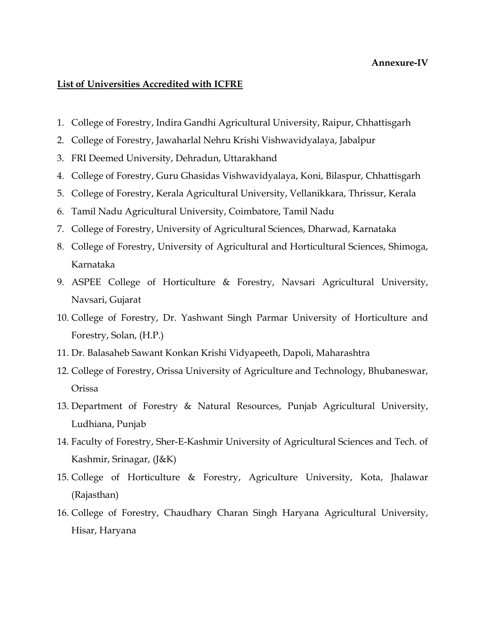## Annexure-IV

## List of Universities Accredited with ICFRE

- 1. College of Forestry, Indira Gandhi Agricultural University, Raipur, Chhattisgarh
- 2. College of Forestry, Jawaharlal Nehru Krishi Vishwavidyalaya, Jabalpur
- 3. FRI Deemed University, Dehradun, Uttarakhand
- 4. College of Forestry, Guru Ghasidas Vishwavidyalaya, Koni, Bilaspur, Chhattisgarh
- 5. College of Forestry, Kerala Agricultural University, Vellanikkara, Thrissur, Kerala
- 6. Tamil Nadu Agricultural University, Coimbatore, Tamil Nadu
- 7. College of Forestry, University of Agricultural Sciences, Dharwad, Karnataka
- 8. College of Forestry, University of Agricultural and Horticultural Sciences, Shimoga, Karnataka
- 9. ASPEE College of Horticulture & Forestry, Navsari Agricultural University, Navsari, Gujarat
- 10. College of Forestry, Dr. Yashwant Singh Parmar University of Horticulture and Forestry, Solan, (H.P.)
- 11. Dr. Balasaheb Sawant Konkan Krishi Vidyapeeth, Dapoli, Maharashtra
- 12. College of Forestry, Orissa University of Agriculture and Technology, Bhubaneswar, Orissa
- 13. Department of Forestry & Natural Resources, Punjab Agricultural University, Ludhiana, Punjab
- 14. Faculty of Forestry, Sher-E-Kashmir University of Agricultural Sciences and Tech. of Kashmir, Srinagar, (J&K)
- 15. College of Horticulture & Forestry, Agriculture University, Kota, Jhalawar (Rajasthan)
- 16. College of Forestry, Chaudhary Charan Singh Haryana Agricultural University, Hisar, Haryana